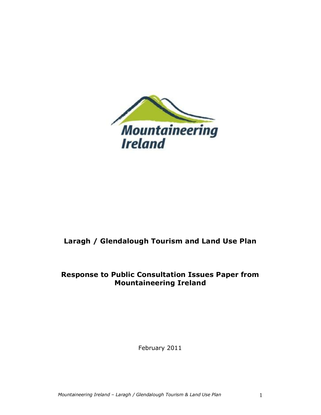

# **Laragh / Glendalough Tourism and Land Use Plan**

## **Response to Public Consultation Issues Paper from Mountaineering Ireland**

February 2011

*Mountaineering Ireland - Laragh / Glendalough Tourism & Land Use Plan* 1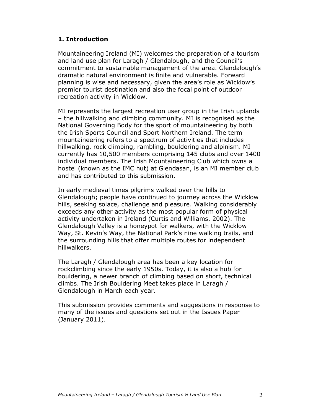## **1. Introduction**

Mountaineering Ireland (MI) welcomes the preparation of a tourism and land use plan for Laragh / Glendalough, and the Council's commitment to sustainable management of the area. Glendalough's dramatic natural environment is finite and vulnerable. Forward planning is wise and necessary, given the area's role as Wicklow's premier tourist destination and also the focal point of outdoor recreation activity in Wicklow.

MI represents the largest recreation user group in the Irish uplands – the hillwalking and climbing community. MI is recognised as the National Governing Body for the sport of mountaineering by both the Irish Sports Council and Sport Northern Ireland. The term mountaineering refers to a spectrum of activities that includes hillwalking, rock climbing, rambling, bouldering and alpinism. MI currently has 10,500 members comprising 145 clubs and over 1400 individual members. The Irish Mountaineering Club which owns a hostel (known as the IMC hut) at Glendasan, is an MI member club and has contributed to this submission.

In early medieval times pilgrims walked over the hills to Glendalough; people have continued to journey across the Wicklow hills, seeking solace, challenge and pleasure. Walking considerably exceeds any other activity as the most popular form of physical activity undertaken in Ireland (Curtis and Williams, 2002). The Glendalough Valley is a honeypot for walkers, with the Wicklow Way, St. Kevin's Way, the National Park's nine walking trails, and the surrounding hills that offer multiple routes for independent hillwalkers.

The Laragh / Glendalough area has been a key location for rockclimbing since the early 1950s. Today, it is also a hub for bouldering, a newer branch of climbing based on short, technical climbs. The Irish Bouldering Meet takes place in Laragh / Glendalough in March each year.

This submission provides comments and suggestions in response to many of the issues and questions set out in the Issues Paper (January 2011).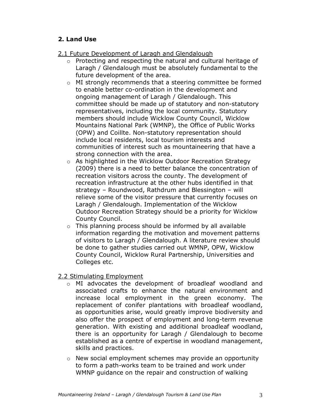## **2. Land Use**

## 2.1 Future Development of Laragh and Glendalough

- o Protecting and respecting the natural and cultural heritage of Laragh / Glendalough must be absolutely fundamental to the future development of the area.
- o MI strongly recommends that a steering committee be formed to enable better co-ordination in the development and ongoing management of Laragh / Glendalough. This committee should be made up of statutory and non-statutory representatives, including the local community. Statutory members should include Wicklow County Council, Wicklow Mountains National Park (WMNP), the Office of Public Works (OPW) and Coillte. Non-statutory representation should include local residents, local tourism interests and communities of interest such as mountaineering that have a strong connection with the area.
- o As highlighted in the Wicklow Outdoor Recreation Strategy (2009) there is a need to better balance the concentration of recreation visitors across the county. The development of recreation infrastructure at the other hubs identified in that strategy – Roundwood, Rathdrum and Blessington – will relieve some of the visitor pressure that currently focuses on Laragh / Glendalough. Implementation of the Wicklow Outdoor Recreation Strategy should be a priority for Wicklow County Council.
- $\circ$  This planning process should be informed by all available information regarding the motivation and movement patterns of visitors to Laragh / Glendalough. A literature review should be done to gather studies carried out WMNP, OPW, Wicklow County Council, Wicklow Rural Partnership, Universities and Colleges etc.

#### 2.2 Stimulating Employment

- $\circ$  MI advocates the development of broadleaf woodland and associated crafts to enhance the natural environment and increase local employment in the green economy. The replacement of conifer plantations with broadleaf woodland, as opportunities arise, would greatly improve biodiversity and also offer the prospect of employment and long-term revenue generation. With existing and additional broadleaf woodland, there is an opportunity for Laragh / Glendalough to become established as a centre of expertise in woodland management, skills and practices.
- o New social employment schemes may provide an opportunity to form a path-works team to be trained and work under WMNP guidance on the repair and construction of walking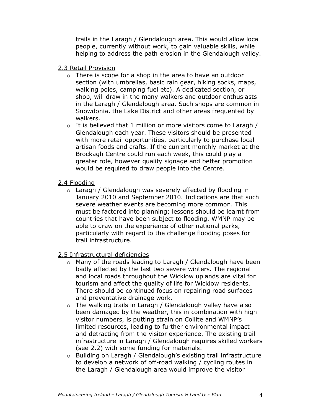trails in the Laragh / Glendalough area. This would allow local people, currently without work, to gain valuable skills, while helping to address the path erosion in the Glendalough valley.

#### 2.3 Retail Provision

- o There is scope for a shop in the area to have an outdoor section (with umbrellas, basic rain gear, hiking socks, maps, walking poles, camping fuel etc). A dedicated section, or shop, will draw in the many walkers and outdoor enthusiasts in the Laragh / Glendalough area. Such shops are common in Snowdonia, the Lake District and other areas frequented by walkers.
- o It is believed that 1 million or more visitors come to Laragh / Glendalough each year. These visitors should be presented with more retail opportunities, particularly to purchase local artisan foods and crafts. If the current monthly market at the Brockagh Centre could run each week, this could play a greater role, however quality signage and better promotion would be required to draw people into the Centre.

#### 2.4 Flooding

- o Laragh / Glendalough was severely affected by flooding in January 2010 and September 2010. Indications are that such severe weather events are becoming more common. This must be factored into planning; lessons should be learnt from countries that have been subject to flooding. WMNP may be able to draw on the experience of other national parks, particularly with regard to the challenge flooding poses for trail infrastructure.
- 2.5 Infrastructural deficiencies
	- o Many of the roads leading to Laragh / Glendalough have been badly affected by the last two severe winters. The regional and local roads throughout the Wicklow uplands are vital for tourism and affect the quality of life for Wicklow residents. There should be continued focus on repairing road surfaces and preventative drainage work.
	- o The walking trails in Laragh / Glendalough valley have also been damaged by the weather, this in combination with high visitor numbers, is putting strain on Coillte and WMNP's limited resources, leading to further environmental impact and detracting from the visitor experience. The existing trail infrastructure in Laragh / Glendalough requires skilled workers (see 2.2) with some funding for materials.
	- o Building on Laragh / Glendalough's existing trail infrastructure to develop a network of off-road walking / cycling routes in the Laragh / Glendalough area would improve the visitor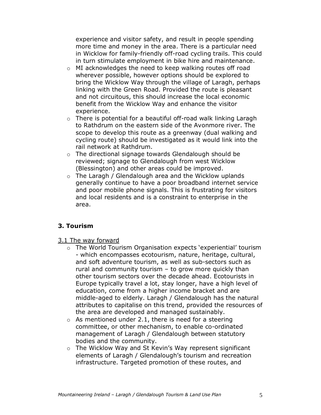experience and visitor safety, and result in people spending more time and money in the area. There is a particular need in Wicklow for family-friendly off-road cycling trails. This could in turn stimulate employment in bike hire and maintenance.

- o MI acknowledges the need to keep walking routes off road wherever possible, however options should be explored to bring the Wicklow Way through the village of Laragh, perhaps linking with the Green Road. Provided the route is pleasant and not circuitous, this should increase the local economic benefit from the Wicklow Way and enhance the visitor experience.
- o There is potential for a beautiful off-road walk linking Laragh to Rathdrum on the eastern side of the Avonmore river. The scope to develop this route as a greenway (dual walking and cycling route) should be investigated as it would link into the rail network at Rathdrum.
- o The directional signage towards Glendalough should be reviewed; signage to Glendalough from west Wicklow (Blessington) and other areas could be improved.
- o The Laragh / Glendalough area and the Wicklow uplands generally continue to have a poor broadband internet service and poor mobile phone signals. This is frustrating for visitors and local residents and is a constraint to enterprise in the area.

## **3. Tourism**

- 3.1 The way forward
	- o The World Tourism Organisation expects 'experiential' tourism - which encompasses ecotourism, nature, heritage, cultural, and soft adventure tourism, as well as sub-sectors such as rural and community tourism – to grow more quickly than other tourism sectors over the decade ahead. Ecotourists in Europe typically travel a lot, stay longer, have a high level of education, come from a higher income bracket and are middle-aged to elderly. Laragh / Glendalough has the natural attributes to capitalise on this trend, provided the resources of the area are developed and managed sustainably.
	- $\circ$  As mentioned under 2.1, there is need for a steering committee, or other mechanism, to enable co-ordinated management of Laragh / Glendalough between statutory bodies and the community.
	- o The Wicklow Way and St Kevin's Way represent significant elements of Laragh / Glendalough's tourism and recreation infrastructure. Targeted promotion of these routes, and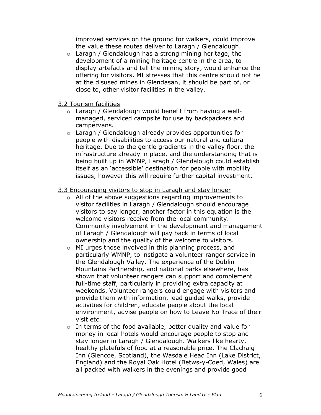improved services on the ground for walkers, could improve the value these routes deliver to Laragh / Glendalough.

- o Laragh / Glendalough has a strong mining heritage, the development of a mining heritage centre in the area, to display artefacts and tell the mining story, would enhance the offering for visitors. MI stresses that this centre should not be at the disused mines in Glendasan, it should be part of, or close to, other visitor facilities in the valley.
- 3.2 Tourism facilities
	- o Laragh / Glendalough would benefit from having a wellmanaged, serviced campsite for use by backpackers and campervans.
	- o Laragh / Glendalough already provides opportunities for people with disabilities to access our natural and cultural heritage. Due to the gentle gradients in the valley floor, the infrastructure already in place, and the understanding that is being built up in WMNP, Laragh / Glendalough could establish itself as an 'accessible' destination for people with mobility issues, however this will require further capital investment.

#### 3.3 Encouraging visitors to stop in Laragh and stay longer

- o All of the above suggestions regarding improvements to visitor facilities in Laragh / Glendalough should encourage visitors to say longer, another factor in this equation is the welcome visitors receive from the local community. Community involvement in the development and management of Laragh / Glendalough will pay back in terms of local ownership and the quality of the welcome to visitors.
- o MI urges those involved in this planning process, and particularly WMNP, to instigate a volunteer ranger service in the Glendalough Valley. The experience of the Dublin Mountains Partnership, and national parks elsewhere, has shown that volunteer rangers can support and complement full-time staff, particularly in providing extra capacity at weekends. Volunteer rangers could engage with visitors and provide them with information, lead guided walks, provide activities for children, educate people about the local environment, advise people on how to Leave No Trace of their visit etc.
- o In terms of the food available, better quality and value for money in local hotels would encourage people to stop and stay longer in Laragh / Glendalough. Walkers like hearty, healthy platefuls of food at a reasonable price. The Clachaig Inn (Glencoe, Scotland), the Wasdale Head Inn (Lake District, England) and the Royal Oak Hotel (Betws-y-Coed, Wales) are all packed with walkers in the evenings and provide good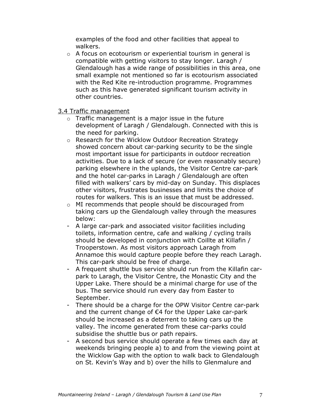examples of the food and other facilities that appeal to walkers.

o A focus on ecotourism or experiential tourism in general is compatible with getting visitors to stay longer. Laragh / Glendalough has a wide range of possibilities in this area, one small example not mentioned so far is ecotourism associated with the Red Kite re-introduction programme. Programmes such as this have generated significant tourism activity in other countries.

3.4 Traffic management

- o Traffic management is a major issue in the future development of Laragh / Glendalough. Connected with this is the need for parking.
- o Research for the Wicklow Outdoor Recreation Strategy showed concern about car-parking security to be the single most important issue for participants in outdoor recreation activities. Due to a lack of secure (or even reasonably secure) parking elsewhere in the uplands, the Visitor Centre car-park and the hotel car-parks in Laragh / Glendalough are often filled with walkers' cars by mid-day on Sunday. This displaces other visitors, frustrates businesses and limits the choice of routes for walkers. This is an issue that must be addressed.
- o MI recommends that people should be discouraged from taking cars up the Glendalough valley through the measures below:
- A large car-park and associated visitor facilities including toilets, information centre, cafe and walking / cycling trails should be developed in conjunction with Coillte at Killafin / Trooperstown. As most visitors approach Laragh from Annamoe this would capture people before they reach Laragh. This car-park should be free of charge.
- A frequent shuttle bus service should run from the Killafin carpark to Laragh, the Visitor Centre, the Monastic City and the Upper Lake. There should be a minimal charge for use of the bus. The service should run every day from Easter to September.
- There should be a charge for the OPW Visitor Centre car-park and the current change of €4 for the Upper Lake car-park should be increased as a deterrent to taking cars up the valley. The income generated from these car-parks could subsidise the shuttle bus or path repairs.
- A second bus service should operate a few times each day at weekends bringing people a) to and from the viewing point at the Wicklow Gap with the option to walk back to Glendalough on St. Kevin's Way and b) over the hills to Glenmalure and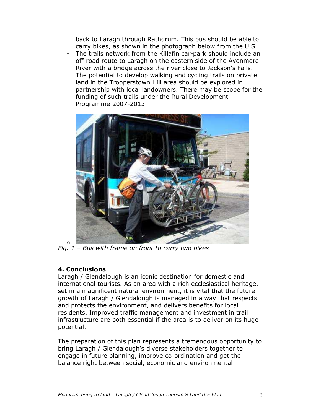back to Laragh through Rathdrum. This bus should be able to carry bikes, as shown in the photograph below from the U.S.

- The trails network from the Killafin car-park should include an off-road route to Laragh on the eastern side of the Avonmore River with a bridge across the river close to Jackson's Falls. The potential to develop walking and cycling trails on private land in the Trooperstown Hill area should be explored in partnership with local landowners. There may be scope for the funding of such trails under the Rural Development Programme 2007-2013.



o *Fig. 1 – Bus with frame on front to carry two bikes*

#### **4. Conclusions**

Laragh / Glendalough is an iconic destination for domestic and international tourists. As an area with a rich ecclesiastical heritage, set in a magnificent natural environment, it is vital that the future growth of Laragh / Glendalough is managed in a way that respects and protects the environment, and delivers benefits for local residents. Improved traffic management and investment in trail infrastructure are both essential if the area is to deliver on its huge potential.

The preparation of this plan represents a tremendous opportunity to bring Laragh / Glendalough's diverse stakeholders together to engage in future planning, improve co-ordination and get the balance right between social, economic and environmental